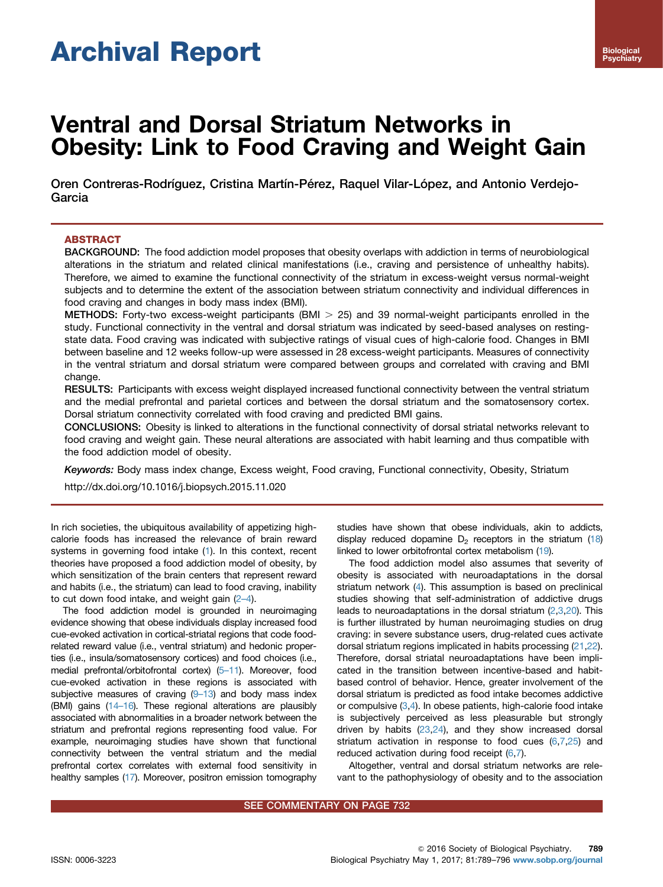# Archival Report

# Ventral and Dorsal Striatum Networks in Obesity: Link to Food Craving and Weight Gain

Oren Contreras-Rodríguez, Cristina Martín-Pérez, Raquel Vilar-López, and Antonio Verdejo-Garcia

# ABSTRACT

BACKGROUND: The food addiction model proposes that obesity overlaps with addiction in terms of neurobiological alterations in the striatum and related clinical manifestations (i.e., craving and persistence of unhealthy habits). Therefore, we aimed to examine the functional connectivity of the striatum in excess-weight versus normal-weight subjects and to determine the extent of the association between striatum connectivity and individual differences in food craving and changes in body mass index (BMI).

**METHODS:** Forty-two excess-weight participants (BMI  $>$  25) and 39 normal-weight participants enrolled in the study. Functional connectivity in the ventral and dorsal striatum was indicated by seed-based analyses on restingstate data. Food craving was indicated with subjective ratings of visual cues of high-calorie food. Changes in BMI between baseline and 12 weeks follow-up were assessed in 28 excess-weight participants. Measures of connectivity in the ventral striatum and dorsal striatum were compared between groups and correlated with craving and BMI change.

RESULTS: Participants with excess weight displayed increased functional connectivity between the ventral striatum and the medial prefrontal and parietal cortices and between the dorsal striatum and the somatosensory cortex. Dorsal striatum connectivity correlated with food craving and predicted BMI gains.

CONCLUSIONS: Obesity is linked to alterations in the functional connectivity of dorsal striatal networks relevant to food craving and weight gain. These neural alterations are associated with habit learning and thus compatible with the food addiction model of obesity.

Keywords: Body mass index change, Excess weight, Food craving, Functional connectivity, Obesity, Striatum

[http://dx.doi.org/10.1016/j.biopsych.2015.11.020](dx.doi.org/10.1016/j.biopsych.2015.11.020)

In rich societies, the ubiquitous availability of appetizing highcalorie foods has increased the relevance of brain reward systems in governing food intake ([1\)](#page-6-0). In this context, recent theories have proposed a food addiction model of obesity, by which sensitization of the brain centers that represent reward and habits (i.e., the striatum) can lead to food craving, inability to cut down food intake, and weight gain  $(2-4)$  $(2-4)$ .

The food addiction model is grounded in neuroimaging evidence showing that obese individuals display increased food cue-evoked activation in cortical-striatal regions that code foodrelated reward value (i.e., ventral striatum) and hedonic properties (i.e., insula/somatosensory cortices) and food choices (i.e., medial prefrontal/orbitofrontal cortex) (5–[11](#page-6-0)). Moreover, food cue-evoked activation in these regions is associated with subjective measures of craving  $(9-13)$  $(9-13)$  $(9-13)$  and body mass index (BMI) gains [\(14](#page-6-0)–16). These regional alterations are plausibly associated with abnormalities in a broader network between the striatum and prefrontal regions representing food value. For example, neuroimaging studies have shown that functional connectivity between the ventral striatum and the medial prefrontal cortex correlates with external food sensitivity in healthy samples [\(17](#page-6-0)). Moreover, positron emission tomography studies have shown that obese individuals, akin to addicts, display reduced dopamine  $D_2$  receptors in the striatum ([18\)](#page-7-0) linked to lower orbitofrontal cortex metabolism [\(19](#page-7-0)).

The food addiction model also assumes that severity of obesity is associated with neuroadaptations in the dorsal striatum network ([4\)](#page-6-0). This assumption is based on preclinical studies showing that self-administration of addictive drugs leads to neuroadaptations in the dorsal striatum  $(2,3,20)$  $(2,3,20)$  $(2,3,20)$  $(2,3,20)$  $(2,3,20)$  $(2,3,20)$ . This is further illustrated by human neuroimaging studies on drug craving: in severe substance users, drug-related cues activate dorsal striatum regions implicated in habits processing [\(21,22\)](#page-7-0). Therefore, dorsal striatal neuroadaptations have been implicated in the transition between incentive-based and habitbased control of behavior. Hence, greater involvement of the dorsal striatum is predicted as food intake becomes addictive or compulsive [\(3,4\)](#page-6-0). In obese patients, high-calorie food intake is subjectively perceived as less pleasurable but strongly driven by habits [\(23,24](#page-7-0)), and they show increased dorsal striatum activation in response to food cues [\(6,7,](#page-6-0)[25](#page-7-0)) and reduced activation during food receipt [\(6,7](#page-6-0)).

Altogether, ventral and dorsal striatum networks are relevant to the pathophysiology of obesity and to the association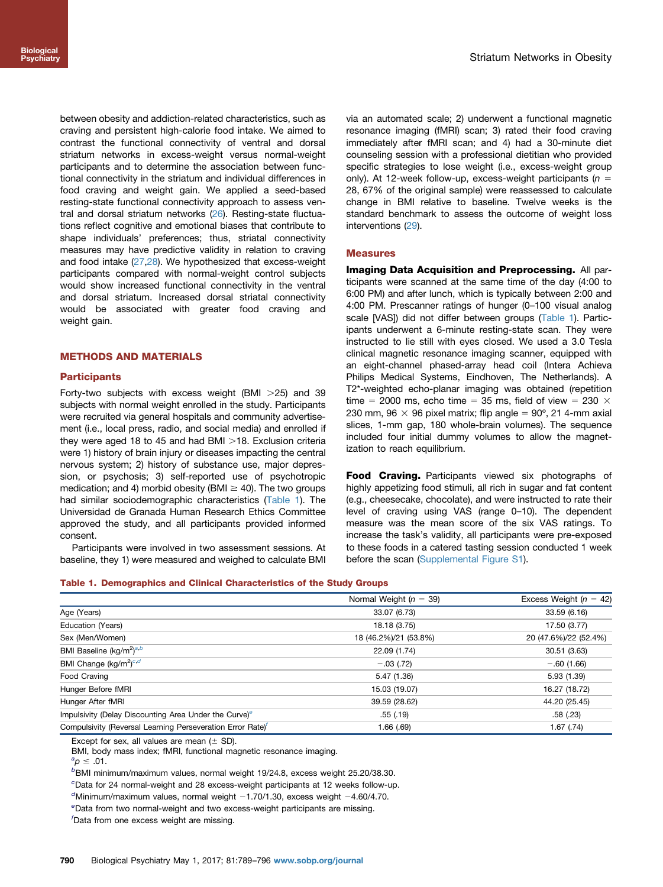between obesity and addiction-related characteristics, such as craving and persistent high-calorie food intake. We aimed to contrast the functional connectivity of ventral and dorsal striatum networks in excess-weight versus normal-weight participants and to determine the association between functional connectivity in the striatum and individual differences in food craving and weight gain. We applied a seed-based resting-state functional connectivity approach to assess ventral and dorsal striatum networks [\(26\)](#page-7-0). Resting-state fluctuations reflect cognitive and emotional biases that contribute to shape individuals' preferences; thus, striatal connectivity measures may have predictive validity in relation to craving and food intake [\(27,28](#page-7-0)). We hypothesized that excess-weight participants compared with normal-weight control subjects would show increased functional connectivity in the ventral and dorsal striatum. Increased dorsal striatal connectivity would be associated with greater food craving and weight gain.

## METHODS AND MATERIALS

#### **Participants**

Forty-two subjects with excess weight (BMI  $>25$ ) and 39 subjects with normal weight enrolled in the study. Participants were recruited via general hospitals and community advertisement (i.e., local press, radio, and social media) and enrolled if they were aged 18 to 45 and had BMI  $>$ 18. Exclusion criteria were 1) history of brain injury or diseases impacting the central nervous system; 2) history of substance use, major depression, or psychosis; 3) self-reported use of psychotropic medication; and 4) morbid obesity (BMI  $\geq$  40). The two groups had similar sociodemographic characteristics (Table 1). The Universidad de Granada Human Research Ethics Committee approved the study, and all participants provided informed consent.

Participants were involved in two assessment sessions. At baseline, they 1) were measured and weighed to calculate BMI

via an automated scale; 2) underwent a functional magnetic resonance imaging (fMRI) scan; 3) rated their food craving immediately after fMRI scan; and 4) had a 30-minute diet counseling session with a professional dietitian who provided specific strategies to lose weight (i.e., excess-weight group only). At 12-week follow-up, excess-weight participants ( $n =$ 28, 67% of the original sample) were reassessed to calculate change in BMI relative to baseline. Twelve weeks is the standard benchmark to assess the outcome of weight loss interventions ([29](#page-7-0)).

#### Measures

Imaging Data Acquisition and Preprocessing. All participants were scanned at the same time of the day (4:00 to 6:00 PM) and after lunch, which is typically between 2:00 and 4:00 PM. Prescanner ratings of hunger (0–100 visual analog scale [VAS]) did not differ between groups (Table 1). Participants underwent a 6-minute resting-state scan. They were instructed to lie still with eyes closed. We used a 3.0 Tesla clinical magnetic resonance imaging scanner, equipped with an eight-channel phased-array head coil (Intera Achieva Philips Medical Systems, Eindhoven, The Netherlands). A T2\*-weighted echo-planar imaging was obtained (repetition time = 2000 ms, echo time = 35 ms, field of view = 230  $\times$ 230 mm, 96  $\times$  96 pixel matrix; flip angle = 90 $^{\circ}$ , 21 4-mm axial slices, 1-mm gap, 180 whole-brain volumes). The sequence included four initial dummy volumes to allow the magnetization to reach equilibrium.

Food Craving. Participants viewed six photographs of highly appetizing food stimuli, all rich in sugar and fat content (e.g., cheesecake, chocolate), and were instructed to rate their level of craving using VAS (range 0–10). The dependent measure was the mean score of the six VAS ratings. To increase the task's validity, all participants were pre-exposed to these foods in a catered tasting session conducted 1 week before the scan [\(Supplemental Figure S1\)](#page-6-0).

#### Table 1. Demographics and Clinical Characteristics of the Study Groups

|                                                                        | Normal Weight ( $n = 39$ ) | Excess Weight ( $n = 42$ ) |
|------------------------------------------------------------------------|----------------------------|----------------------------|
| Age (Years)                                                            | 33.07 (6.73)               | 33.59 (6.16)               |
| Education (Years)                                                      | 18.18 (3.75)               | 17.50 (3.77)               |
| Sex (Men/Women)                                                        | 18 (46.2%)/21 (53.8%)      | 20 (47.6%)/22 (52.4%)      |
| BMI Baseline (kg/m <sup>2)a,b</sup>                                    | 22.09 (1.74)               | 30.51(3.63)                |
| BMI Change (kg/m <sup>2</sup> ) <sup>c,d</sup>                         | $-.03(.72)$                | $-.60(1.66)$               |
| Food Craving                                                           | 5.47 (1.36)                | 5.93(1.39)                 |
| Hunger Before fMRI                                                     | 15.03 (19.07)              | 16.27 (18.72)              |
| Hunger After fMRI                                                      | 39.59 (28.62)              | 44.20 (25.45)              |
| Impulsivity (Delay Discounting Area Under the Curve) <sup>e</sup>      | .55(.19)                   | .58(.23)                   |
| Compulsivity (Reversal Learning Perseveration Error Rate) <sup>†</sup> | 1.66(.69)                  | $1.67$ (.74)               |

Except for sex, all values are mean  $(\pm$  SD).

BMI, body mass index; fMRI, functional magnetic resonance imaging.

 ${}^{\circ}p \leq .01.$ 

BMI minimum/maximum values, normal weight 19/24.8, excess weight 25.20/38.30.

c Data for 24 normal-weight and 28 excess-weight participants at 12 weeks follow-up.

 $d$ Minimum/maximum values, normal weight  $-1.70/1.30$ , excess weight  $-4.60/4.70$ .

Data from two normal-weight and two excess-weight participants are missing.

f Data from one excess weight are missing.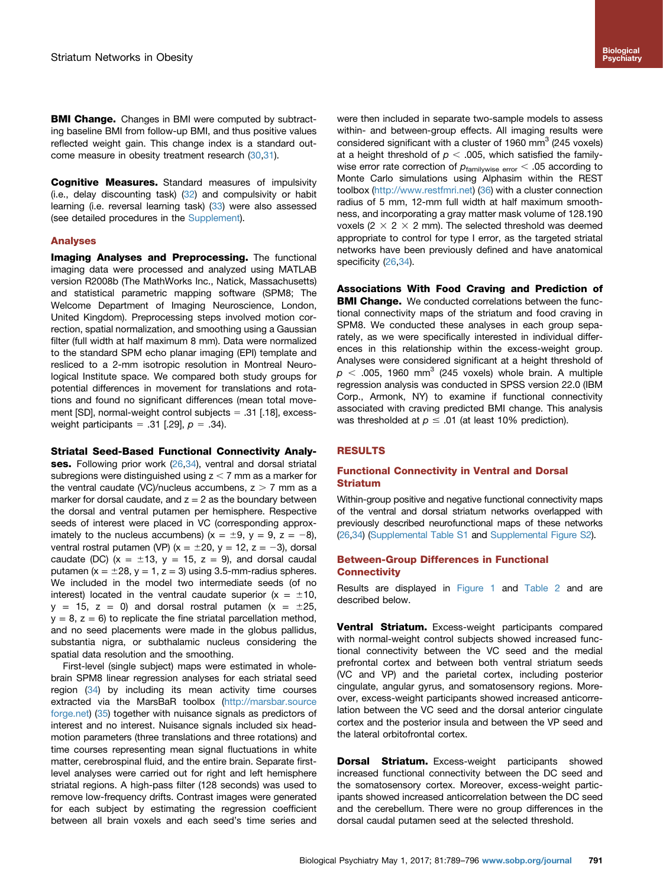**BMI Change.** Changes in BMI were computed by subtracting baseline BMI from follow-up BMI, and thus positive values reflected weight gain. This change index is a standard out-come measure in obesity treatment research ([30](#page-7-0),[31](#page-7-0)).

**Cognitive Measures.** Standard measures of impulsivity (i.e., delay discounting task) [\(32\)](#page-7-0) and compulsivity or habit learning (i.e. reversal learning task) ([33](#page-7-0)) were also assessed (see detailed procedures in the [Supplement\)](#page-6-0).

#### Analyses

**Imaging Analyses and Preprocessing.** The functional imaging data were processed and analyzed using MATLAB version R2008b (The MathWorks Inc., Natick, Massachusetts) and statistical parametric mapping software (SPM8; The Welcome Department of Imaging Neuroscience, London, United Kingdom). Preprocessing steps involved motion correction, spatial normalization, and smoothing using a Gaussian filter (full width at half maximum 8 mm). Data were normalized to the standard SPM echo planar imaging (EPI) template and resliced to a 2-mm isotropic resolution in Montreal Neurological Institute space. We compared both study groups for potential differences in movement for translations and rotations and found no significant differences (mean total movement  $[SD]$ , normal-weight control subjects = .31  $[.18]$ , excessweight participants = .31 [.29],  $p = .34$ ].

#### Striatal Seed-Based Functional Connectivity Analy-

ses. Following prior work [\(26](#page-7-0),[34](#page-7-0)), ventral and dorsal striatal subregions were distinguished using  $z < 7$  mm as a marker for the ventral caudate (VC)/nucleus accumbens,  $z > 7$  mm as a marker for dorsal caudate, and  $z = 2$  as the boundary between the dorsal and ventral putamen per hemisphere. Respective seeds of interest were placed in VC (corresponding approximately to the nucleus accumbens) ( $x = \pm 9$ ,  $y = 9$ ,  $z = -8$ ), ventral rostral putamen (VP) ( $x = \pm 20$ ,  $y = 12$ ,  $z = -3$ ), dorsal caudate (DC)  $(x = \pm 13, y = 15, z = 9)$ , and dorsal caudal putamen ( $x = \pm 28$ ,  $y = 1$ ,  $z = 3$ ) using 3.5-mm-radius spheres. We included in the model two intermediate seeds (of no interest) located in the ventral caudate superior ( $x = \pm 10$ ,  $y = 15$ ,  $z = 0$ ) and dorsal rostral putamen  $(x = \pm 25$ ,  $y = 8$ ,  $z = 6$ ) to replicate the fine striatal parcellation method, and no seed placements were made in the globus pallidus, substantia nigra, or subthalamic nucleus considering the spatial data resolution and the smoothing.

First-level (single subject) maps were estimated in wholebrain SPM8 linear regression analyses for each striatal seed region  $(34)$  by including its mean activity time courses extracted via the MarsBaR toolbox [\(http://marsbar.source](http://marsbar.sourceforge.net) [forge.net\)](http://marsbar.sourceforge.net) ([35](#page-7-0)) together with nuisance signals as predictors of interest and no interest. Nuisance signals included six headmotion parameters (three translations and three rotations) and time courses representing mean signal fluctuations in white matter, cerebrospinal fluid, and the entire brain. Separate firstlevel analyses were carried out for right and left hemisphere striatal regions. A high-pass filter (128 seconds) was used to remove low-frequency drifts. Contrast images were generated for each subject by estimating the regression coefficient between all brain voxels and each seed's time series and

were then included in separate two-sample models to assess within- and between-group effects. All imaging results were considered significant with a cluster of 1960 mm<sup>3</sup> (245 voxels) at a height threshold of  $p < .005$ , which satisfied the familywise error rate correction of  $p_{\text{familywise error}} < .05$  according to Monte Carlo simulations using Alphasim within the REST toolbox [\(http://www.restfmri.net](http://www.restfmri.net)) ([36](#page-7-0)) with a cluster connection radius of 5 mm, 12-mm full width at half maximum smoothness, and incorporating a gray matter mask volume of 128.190 voxels (2  $\times$  2  $\times$  2 mm). The selected threshold was deemed appropriate to control for type I error, as the targeted striatal networks have been previously defined and have anatomical specificity [\(26,34](#page-7-0)).

Associations With Food Craving and Prediction of **BMI Change.** We conducted correlations between the functional connectivity maps of the striatum and food craving in SPM8. We conducted these analyses in each group separately, as we were specifically interested in individual differences in this relationship within the excess-weight group. Analyses were considered significant at a height threshold of  $p < .005$ , 1960 mm<sup>3</sup> (245 voxels) whole brain. A multiple regression analysis was conducted in SPSS version 22.0 (IBM Corp., Armonk, NY) to examine if functional connectivity associated with craving predicted BMI change. This analysis was thresholded at  $p \leq .01$  (at least 10% prediction).

# RESULTS

# Functional Connectivity in Ventral and Dorsal Striatum

Within-group positive and negative functional connectivity maps of the ventral and dorsal striatum networks overlapped with previously described neurofunctional maps of these networks ([26,34\)](#page-7-0) [\(Supplemental Table S1](#page-6-0) and [Supplemental Figure S2\)](#page-6-0).

#### Between-Group Differences in Functional **Connectivity**

Results are displayed in [Figure 1](#page-3-0) and [Table 2](#page-3-0) and are described below.

Ventral Striatum. Excess-weight participants compared with normal-weight control subjects showed increased functional connectivity between the VC seed and the medial prefrontal cortex and between both ventral striatum seeds (VC and VP) and the parietal cortex, including posterior cingulate, angular gyrus, and somatosensory regions. Moreover, excess-weight participants showed increased anticorrelation between the VC seed and the dorsal anterior cingulate cortex and the posterior insula and between the VP seed and the lateral orbitofrontal cortex.

**Dorsal Striatum.** Excess-weight participants showed increased functional connectivity between the DC seed and the somatosensory cortex. Moreover, excess-weight participants showed increased anticorrelation between the DC seed and the cerebellum. There were no group differences in the dorsal caudal putamen seed at the selected threshold.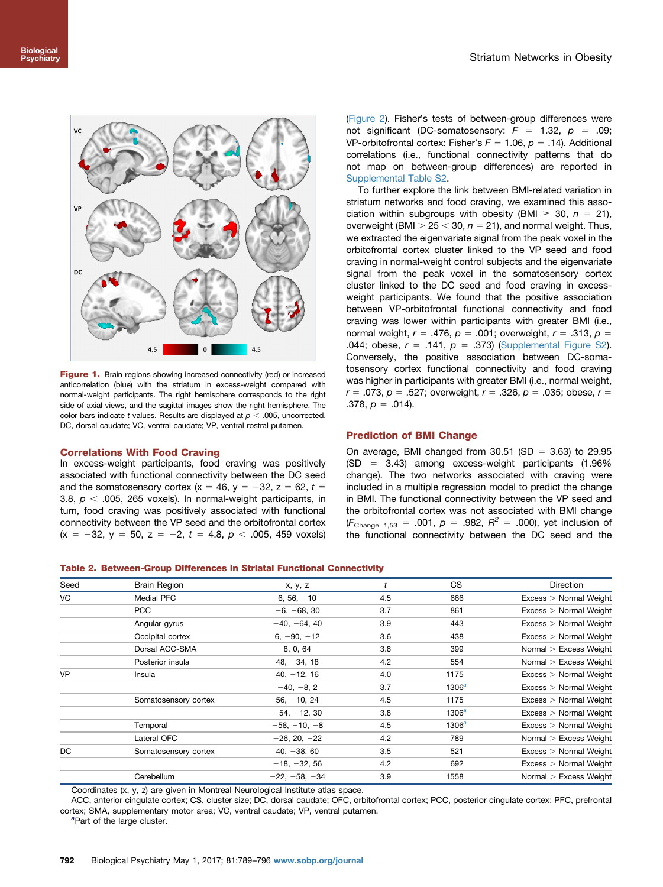<span id="page-3-0"></span>

Figure 1. Brain regions showing increased connectivity (red) or increased anticorrelation (blue) with the striatum in excess-weight compared with normal-weight participants. The right hemisphere corresponds to the right side of axial views, and the sagittal images show the right hemisphere. The color bars indicate t values. Results are displayed at  $p < .005$ , uncorrected. DC, dorsal caudate; VC, ventral caudate; VP, ventral rostral putamen.

## Correlations With Food Craving

In excess-weight participants, food craving was positively associated with functional connectivity between the DC seed and the somatosensory cortex (x = 46, y = -32, z = 62, t = 3.8,  $p <$  .005, 265 voxels). In normal-weight participants, in turn, food craving was positively associated with functional connectivity between the VP seed and the orbitofrontal cortex  $(x = -32, y = 50, z = -2, t = 4.8, p < .005, 459$  voxels)

([Figure 2\)](#page-4-0). Fisher's tests of between-group differences were not significant (DC-somatosensory:  $F = 1.32$ ,  $p = .09$ ; VP-orbitofrontal cortex: Fisher's  $F = 1.06$ ,  $p = .14$ ). Additional correlations (i.e., functional connectivity patterns that do not map on between-group differences) are reported in [Supplemental Table S2](#page-6-0).

To further explore the link between BMI-related variation in striatum networks and food craving, we examined this association within subgroups with obesity (BMI  $\geq$  30,  $n = 21$ ), overweight (BMI  $>$  25  $<$  30, n = 21), and normal weight. Thus, we extracted the eigenvariate signal from the peak voxel in the orbitofrontal cortex cluster linked to the VP seed and food craving in normal-weight control subjects and the eigenvariate signal from the peak voxel in the somatosensory cortex cluster linked to the DC seed and food craving in excessweight participants. We found that the positive association between VP-orbitofrontal functional connectivity and food craving was lower within participants with greater BMI (i.e., normal weight,  $r = .476$ ,  $p = .001$ ; overweight,  $r = .313$ ,  $p =$ .044; obese,  $r = .141$ ,  $p = .373$ ) [\(Supplemental Figure S2\)](#page-6-0). Conversely, the positive association between DC-somatosensory cortex functional connectivity and food craving was higher in participants with greater BMI (i.e., normal weight,  $r = .073$ ,  $p = .527$ ; overweight,  $r = .326$ ,  $p = .035$ ; obese,  $r =$ .378,  $p = .014$ ).

#### Prediction of BMI Change

On average, BMI changed from  $30.51$  (SD = 3.63) to 29.95  $(SD = 3.43)$  among excess-weight participants (1.96%) change). The two networks associated with craving were included in a multiple regression model to predict the change in BMI. The functional connectivity between the VP seed and the orbitofrontal cortex was not associated with BMI change (F<sub>Change 1,53</sub> = .001,  $p = .982$ ,  $R^2 = .000$ ), yet inclusion of the functional connectivity between the DC seed and the

#### Table 2. Between-Group Differences in Striatal Functional Connectivity

| Seed      |                      |                 |     | CS       |                          |
|-----------|----------------------|-----------------|-----|----------|--------------------------|
|           | <b>Brain Region</b>  | x, y, z         |     |          | <b>Direction</b>         |
| VC        | Medial PFC           | $6, 56, -10$    | 4.5 | 666      | $Excess$ > Normal Weight |
|           | <b>PCC</b>           | $-6, -68, 30$   | 3.7 | 861      | $Excess$ > Normal Weight |
|           | Angular gyrus        | $-40, -64, 40$  | 3.9 | 443      | $Excess$ > Normal Weight |
|           | Occipital cortex     | $6, -90, -12$   | 3.6 | 438      | $Excess$ > Normal Weight |
|           | Dorsal ACC-SMA       | 8, 0, 64        | 3.8 | 399      | Normal $>$ Excess Weight |
|           | Posterior insula     | $48, -34, 18$   | 4.2 | 554      | Normal $>$ Excess Weight |
| <b>VP</b> | Insula               | $40, -12, 16$   | 4.0 | 1175     | $Excess$ > Normal Weight |
|           |                      | $-40, -8, 2$    | 3.7 | $1306^a$ | $Excess$ > Normal Weight |
|           | Somatosensory cortex | $56, -10, 24$   | 4.5 | 1175     | $Excess$ > Normal Weight |
|           |                      | $-54, -12, 30$  | 3.8 | $1306^a$ | $Excess$ > Normal Weight |
|           | Temporal             | $-58, -10, -8$  | 4.5 | $1306^a$ | $Excess$ > Normal Weight |
|           | Lateral OFC          | $-26, 20, -22$  | 4.2 | 789      | Normal $>$ Excess Weight |
| DC        | Somatosensory cortex | $40, -38, 60$   | 3.5 | 521      | $Excess$ > Normal Weight |
|           |                      | $-18, -32, 56$  | 4.2 | 692      | $Excess$ > Normal Weight |
|           | Cerebellum           | $-22, -58, -34$ | 3.9 | 1558     | Normal $>$ Excess Weight |

Coordinates (x, y, z) are given in Montreal Neurological Institute atlas space.

ACC, anterior cingulate cortex; CS, cluster size; DC, dorsal caudate; OFC, orbitofrontal cortex; PCC, posterior cingulate cortex; PFC, prefrontal cortex; SMA, supplementary motor area; VC, ventral caudate; VP, ventral putamen.

<sup>a</sup>Part of the large cluster.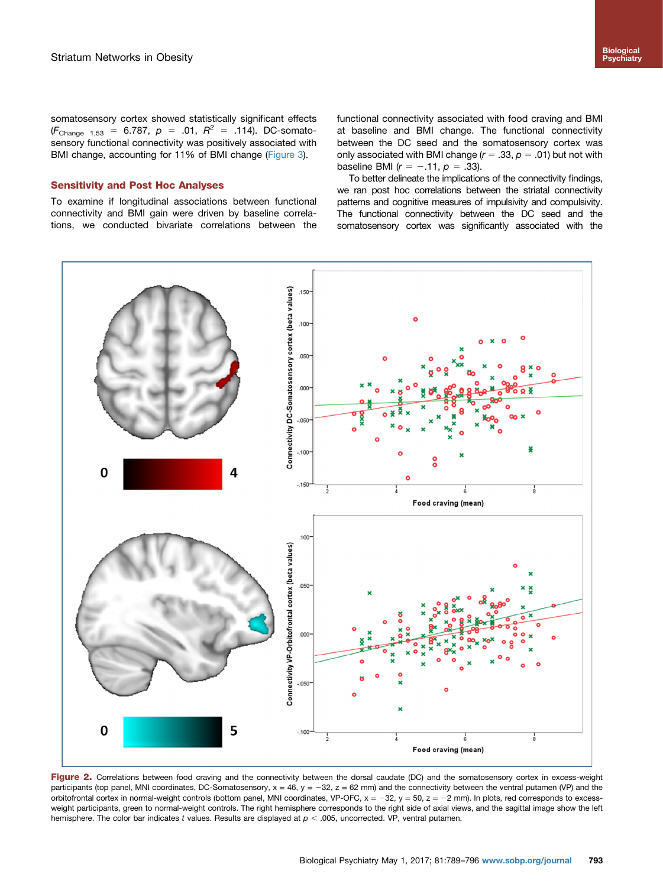<span id="page-4-0"></span>somatosensory cortex showed statistically significant effects  $(F_{\text{Change 1.53}} = 6.787, p = .01, R^2 = .114)$ . DC-somatosensory functional connectivity was positively associated with BMI change, accounting for 11% of BMI change [\(Figure 3\)](#page-5-0).

## Sensitivity and Post Hoc Analyses

To examine if longitudinal associations between functional connectivity and BMI gain were driven by baseline correlations, we conducted bivariate correlations between the functional connectivity associated with food craving and BMI at baseline and BMI change. The functional connectivity between the DC seed and the somatosensory cortex was only associated with BMI change  $(r = .33, p = .01)$  but not with baseline BMI  $(r = -.11, p = .33)$ .

To better delineate the implications of the connectivity findings, we ran post hoc correlations between the striatal connectivity patterns and cognitive measures of impulsivity and compulsivity. The functional connectivity between the DC seed and the somatosensory cortex was significantly associated with the



Figure 2. Correlations between food craving and the connectivity between the dorsal caudate (DC) and the somatosensory cortex in excess-weight participants (top panel, MNI coordinates, DC-Somatosensory,  $x = 46$ ,  $y = -32$ ,  $z = 62$  mm) and the connectivity between the ventral putamen (VP) and the orbitofrontal cortex in normal-weight controls (bottom panel, MNI coordinates, VP-OFC,  $x = -32$ ,  $y = 50$ ,  $z = -2$  mm). In plots, red corresponds to excessweight participants, green to normal-weight controls. The right hemisphere corresponds to the right side of axial views, and the sagittal image show the left hemisphere. The color bar indicates t values. Results are displayed at  $p < .005$ , uncorrected. VP, ventral putamen.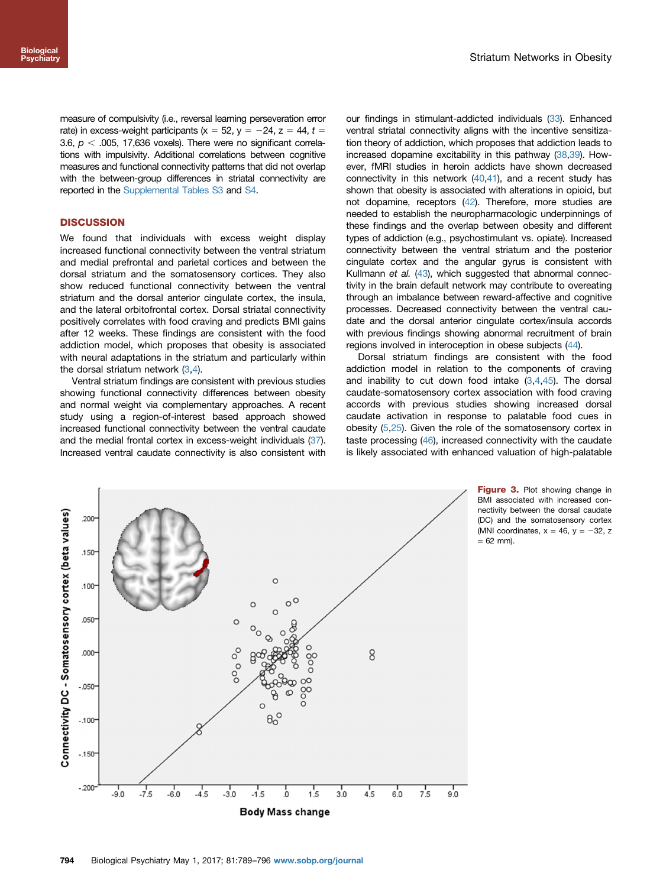<span id="page-5-0"></span>measure of compulsivity (i.e., reversal learning perseveration error rate) in excess-weight participants ( $x = 52$ ,  $y = -24$ ,  $z = 44$ ,  $t =$ 3.6,  $p <$  .005, 17,636 voxels). There were no significant correlations with impulsivity. Additional correlations between cognitive measures and functional connectivity patterns that did not overlap with the between-group differences in striatal connectivity are reported in the [Supplemental Tables S3](#page-6-0) and [S4.](#page-6-0)

# **DISCUSSION**

We found that individuals with excess weight display increased functional connectivity between the ventral striatum and medial prefrontal and parietal cortices and between the dorsal striatum and the somatosensory cortices. They also show reduced functional connectivity between the ventral striatum and the dorsal anterior cingulate cortex, the insula, and the lateral orbitofrontal cortex. Dorsal striatal connectivity positively correlates with food craving and predicts BMI gains after 12 weeks. These findings are consistent with the food addiction model, which proposes that obesity is associated with neural adaptations in the striatum and particularly within the dorsal striatum network  $(3,4)$  $(3,4)$  $(3,4)$  $(3,4)$ .

Ventral striatum findings are consistent with previous studies showing functional connectivity differences between obesity and normal weight via complementary approaches. A recent study using a region-of-interest based approach showed increased functional connectivity between the ventral caudate and the medial frontal cortex in excess-weight individuals [\(37](#page-7-0)). Increased ventral caudate connectivity is also consistent with our findings in stimulant-addicted individuals [\(33](#page-7-0)). Enhanced ventral striatal connectivity aligns with the incentive sensitization theory of addiction, which proposes that addiction leads to increased dopamine excitability in this pathway [\(38](#page-7-0),[39\)](#page-7-0). However, fMRI studies in heroin addicts have shown decreased connectivity in this network  $(40, 41)$ , and a recent study has shown that obesity is associated with alterations in opioid, but not dopamine, receptors [\(42](#page-7-0)). Therefore, more studies are needed to establish the neuropharmacologic underpinnings of these findings and the overlap between obesity and different types of addiction (e.g., psychostimulant vs. opiate). Increased connectivity between the ventral striatum and the posterior cingulate cortex and the angular gyrus is consistent with Kullmann et al. [\(43](#page-7-0)), which suggested that abnormal connectivity in the brain default network may contribute to overeating through an imbalance between reward-affective and cognitive processes. Decreased connectivity between the ventral caudate and the dorsal anterior cingulate cortex/insula accords with previous findings showing abnormal recruitment of brain regions involved in interoception in obese subjects ([44](#page-7-0)).

Dorsal striatum findings are consistent with the food addiction model in relation to the components of craving and inability to cut down food intake  $(3,4,45)$  $(3,4,45)$  $(3,4,45)$ . The dorsal caudate-somatosensory cortex association with food craving accords with previous studies showing increased dorsal caudate activation in response to palatable food cues in obesity [\(5](#page-6-0)[,25\)](#page-7-0). Given the role of the somatosensory cortex in taste processing [\(46](#page-7-0)), increased connectivity with the caudate is likely associated with enhanced valuation of high-palatable



Figure 3. Plot showing change in BMI associated with increased connectivity between the dorsal caudate (DC) and the somatosensory cortex (MNI coordinates,  $x = 46$ ,  $y = -32$ , z  $= 62$  mm).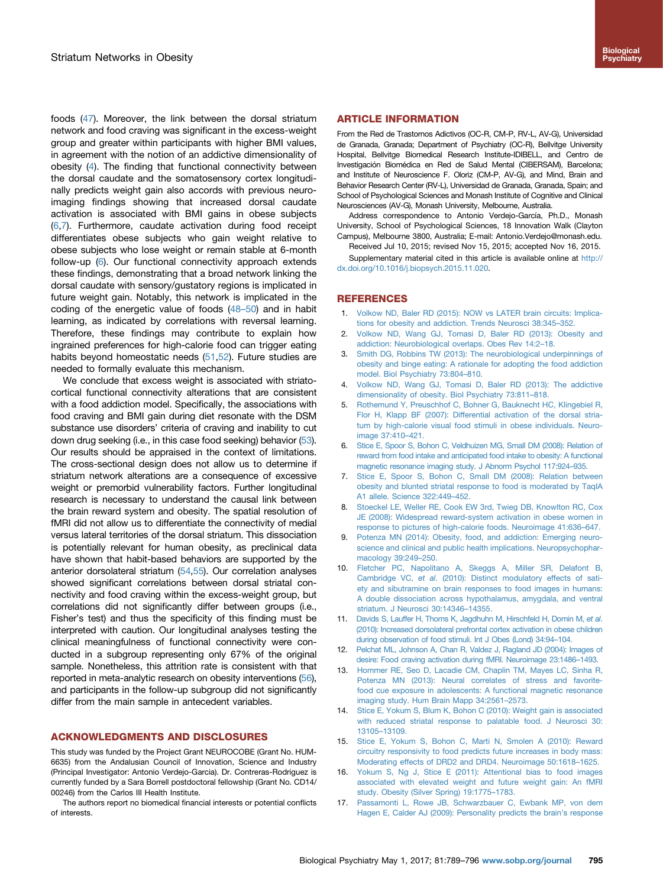<span id="page-6-0"></span>foods [\(47](#page-7-0)). Moreover, the link between the dorsal striatum network and food craving was significant in the excess-weight group and greater within participants with higher BMI values, in agreement with the notion of an addictive dimensionality of obesity (4). The finding that functional connectivity between the dorsal caudate and the somatosensory cortex longitudinally predicts weight gain also accords with previous neuroimaging findings showing that increased dorsal caudate activation is associated with BMI gains in obese subjects (6,7). Furthermore, caudate activation during food receipt differentiates obese subjects who gain weight relative to obese subjects who lose weight or remain stable at 6-month follow-up (6). Our functional connectivity approach extends these findings, demonstrating that a broad network linking the dorsal caudate with sensory/gustatory regions is implicated in future weight gain. Notably, this network is implicated in the coding of the energetic value of foods [\(48](#page-7-0)–50) and in habit learning, as indicated by correlations with reversal learning. Therefore, these findings may contribute to explain how ingrained preferences for high-calorie food can trigger eating habits beyond homeostatic needs ([51](#page-7-0),[52](#page-7-0)). Future studies are needed to formally evaluate this mechanism.

We conclude that excess weight is associated with striatocortical functional connectivity alterations that are consistent with a food addiction model. Specifically, the associations with food craving and BMI gain during diet resonate with the DSM substance use disorders' criteria of craving and inability to cut down drug seeking (i.e., in this case food seeking) behavior [\(53](#page-7-0)). Our results should be appraised in the context of limitations. The cross-sectional design does not allow us to determine if striatum network alterations are a consequence of excessive weight or premorbid vulnerability factors. Further longitudinal research is necessary to understand the causal link between the brain reward system and obesity. The spatial resolution of fMRI did not allow us to differentiate the connectivity of medial versus lateral territories of the dorsal striatum. This dissociation is potentially relevant for human obesity, as preclinical data have shown that habit-based behaviors are supported by the anterior dorsolateral striatum [\(54,55\)](#page-7-0). Our correlation analyses showed significant correlations between dorsal striatal connectivity and food craving within the excess-weight group, but correlations did not significantly differ between groups (i.e., Fisher's test) and thus the specificity of this finding must be interpreted with caution. Our longitudinal analyses testing the clinical meaningfulness of functional connectivity were conducted in a subgroup representing only 67% of the original sample. Nonetheless, this attrition rate is consistent with that reported in meta-analytic research on obesity interventions [\(56](#page-7-0)), and participants in the follow-up subgroup did not significantly differ from the main sample in antecedent variables.

#### ACKNOWLEDGMENTS AND DISCLOSURES

This study was funded by the Project Grant NEUROCOBE (Grant No. HUM-6635) from the Andalusian Council of Innovation, Science and Industry (Principal Investigator: Antonio Verdejo-Garcia). Dr. Contreras-Rodriguez is currently funded by a Sara Borrell postdoctoral fellowship (Grant No. CD14/ 00246) from the Carlos III Health Institute.

The authors report no biomedical financial interests or potential conflicts of interests.

## ARTICLE INFORMATION

From the Red de Trastornos Adictivos (OC-R, CM-P, RV-L, AV-G), Universidad de Granada, Granada; Department of Psychiatry (OC-R), Bellvitge University Hospital, Bellvitge Biomedical Research Institute-IDIBELL, and Centro de Investigación Biomédica en Red de Salud Mental (CIBERSAM), Barcelona; and Institute of Neuroscience F. Oloriz (CM-P, AV-G), and Mind, Brain and Behavior Research Center (RV-L), Universidad de Granada, Granada, Spain; and School of Psychological Sciences and Monash Institute of Cognitive and Clinical Neurosciences (AV-G), Monash University, Melbourne, Australia.

Address correspondence to Antonio Verdejo-García, Ph.D., Monash University, School of Psychological Sciences, 18 Innovation Walk (Clayton Campus), Melbourne 3800, Australia; E-mail: Antonio.Verdejo@monash.edu.

Received Jul 10, 2015; revised Nov 15, 2015; accepted Nov 16, 2015.

Supplementary material cited in this article is available online at [http://](dx.doi.org/10.1016/j.biopsych.2015.11.020) [dx.doi.org/10.1016/j.biopsych.2015.11.020.](dx.doi.org/10.1016/j.biopsych.2015.11.020)

#### REFERENCES

- 1. [Volkow ND, Baler RD \(2015\): NOW vs LATER brain circuits: Implica](http://refhub.elsevier.com/S0006-3223(15)00997-X/sbref1)[tions for obesity and addiction. Trends Neurosci 38:345](http://refhub.elsevier.com/S0006-3223(15)00997-X/sbref1)–352.
- 2. [Volkow ND, Wang GJ, Tomasi D, Baler RD \(2013\): Obesity and](http://refhub.elsevier.com/S0006-3223(15)00997-X/sbref2) [addiction: Neurobiological overlaps. Obes Rev 14:2](http://refhub.elsevier.com/S0006-3223(15)00997-X/sbref2)–18.
- 3. [Smith DG, Robbins TW \(2013\): The neurobiological underpinnings of](http://refhub.elsevier.com/S0006-3223(15)00997-X/sbref3) [obesity and binge eating: A rationale for adopting the food addiction](http://refhub.elsevier.com/S0006-3223(15)00997-X/sbref3) [model. Biol Psychiatry 73:804](http://refhub.elsevier.com/S0006-3223(15)00997-X/sbref3)–810.
- 4. [Volkow ND, Wang GJ, Tomasi D, Baler RD \(2013\): The addictive](http://refhub.elsevier.com/S0006-3223(15)00997-X/sbref4) [dimensionality of obesity. Biol Psychiatry 73:811](http://refhub.elsevier.com/S0006-3223(15)00997-X/sbref4)–818.
- 5. [Rothemund Y, Preuschhof C, Bohner G, Bauknecht HC, Klingebiel R,](http://refhub.elsevier.com/S0006-3223(15)00997-X/sbref5) [Flor H, Klapp BF \(2007\): Differential activation of the dorsal stria](http://refhub.elsevier.com/S0006-3223(15)00997-X/sbref5)[tum by high-calorie visual food stimuli in obese individuals. Neuro](http://refhub.elsevier.com/S0006-3223(15)00997-X/sbref5)[image 37:410](http://refhub.elsevier.com/S0006-3223(15)00997-X/sbref5)–421.
- 6. [Stice E, Spoor S, Bohon C, Veldhuizen MG, Small DM \(2008\): Relation of](http://refhub.elsevier.com/S0006-3223(15)00997-X/sbref6) [reward from food intake and anticipated food intake to obesity: A functional](http://refhub.elsevier.com/S0006-3223(15)00997-X/sbref6) [magnetic resonance imaging study. J Abnorm Psychol 117:924](http://refhub.elsevier.com/S0006-3223(15)00997-X/sbref6)–935.
- 7. [Stice E, Spoor S, Bohon C, Small DM \(2008\): Relation between](http://refhub.elsevier.com/S0006-3223(15)00997-X/sbref7) [obesity and blunted striatal response to food is moderated by TaqIA](http://refhub.elsevier.com/S0006-3223(15)00997-X/sbref7) [A1 allele. Science 322:449](http://refhub.elsevier.com/S0006-3223(15)00997-X/sbref7)–452.
- 8. [Stoeckel LE, Weller RE, Cook EW 3rd, Twieg DB, Knowlton RC, Cox](http://refhub.elsevier.com/S0006-3223(15)00997-X/sbref8) [JE \(2008\): Widespread reward-system activation in obese women in](http://refhub.elsevier.com/S0006-3223(15)00997-X/sbref8) [response to pictures of high-calorie foods. Neuroimage 41:636](http://refhub.elsevier.com/S0006-3223(15)00997-X/sbref8)–647.
- [Potenza MN \(2014\): Obesity, food, and addiction: Emerging neuro](http://refhub.elsevier.com/S0006-3223(15)00997-X/sbref9)[science and clinical and public health implications. Neuropsychophar](http://refhub.elsevier.com/S0006-3223(15)00997-X/sbref9)[macology 39:249](http://refhub.elsevier.com/S0006-3223(15)00997-X/sbref9)–250.
- 10. [Fletcher PC, Napolitano A, Skeggs A, Miller SR, Delafont B,](http://refhub.elsevier.com/S0006-3223(15)00997-X/sbref10) Cambridge VC, et al[. \(2010\): Distinct modulatory effects of sati](http://refhub.elsevier.com/S0006-3223(15)00997-X/sbref10)[ety and sibutramine on brain responses to food images in humans:](http://refhub.elsevier.com/S0006-3223(15)00997-X/sbref10) [A double dissociation across hypothalamus, amygdala, and ventral](http://refhub.elsevier.com/S0006-3223(15)00997-X/sbref10) [striatum. J Neurosci 30:14346](http://refhub.elsevier.com/S0006-3223(15)00997-X/sbref10)–14355.
- 11. [Davids S, Lauffer H, Thoms K, Jagdhuhn M, Hirschfeld H, Domin M,](http://refhub.elsevier.com/S0006-3223(15)00997-X/sbref11) et al. [\(2010\): Increased dorsolateral prefrontal cortex activation in obese children](http://refhub.elsevier.com/S0006-3223(15)00997-X/sbref11) [during observation of food stimuli. Int J Obes \(Lond\) 34:94](http://refhub.elsevier.com/S0006-3223(15)00997-X/sbref11)–104.
- 12. [Pelchat ML, Johnson A, Chan R, Valdez J, Ragland JD \(2004\): Images of](http://refhub.elsevier.com/S0006-3223(15)00997-X/sbref12) [desire: Food craving activation during fMRI. Neuroimage 23:1486](http://refhub.elsevier.com/S0006-3223(15)00997-X/sbref12)–1493.
- 13. [Hommer RE, Seo D, Lacadie CM, Chaplin TM, Mayes LC, Sinha R,](http://refhub.elsevier.com/S0006-3223(15)00997-X/sbref13) [Potenza MN \(2013\): Neural correlates of stress and favorite](http://refhub.elsevier.com/S0006-3223(15)00997-X/sbref13)[food cue exposure in adolescents: A functional magnetic resonance](http://refhub.elsevier.com/S0006-3223(15)00997-X/sbref13) [imaging study. Hum Brain Mapp 34:2561](http://refhub.elsevier.com/S0006-3223(15)00997-X/sbref13)–2573.
- 14. [Stice E, Yokum S, Blum K, Bohon C \(2010\): Weight gain is associated](http://refhub.elsevier.com/S0006-3223(15)00997-X/sbref14) [with reduced striatal response to palatable food. J Neurosci 30:](http://refhub.elsevier.com/S0006-3223(15)00997-X/sbref14) 13105–[13109.](http://refhub.elsevier.com/S0006-3223(15)00997-X/sbref14)
- 15. [Stice E, Yokum S, Bohon C, Marti N, Smolen A \(2010\): Reward](http://refhub.elsevier.com/S0006-3223(15)00997-X/sbref15) [circuitry responsivity to food predicts future increases in body mass:](http://refhub.elsevier.com/S0006-3223(15)00997-X/sbref15) [Moderating effects of DRD2 and DRD4. Neuroimage 50:1618](http://refhub.elsevier.com/S0006-3223(15)00997-X/sbref15)–1625.
- 16. [Yokum S, Ng J, Stice E \(2011\): Attentional bias to food images](http://refhub.elsevier.com/S0006-3223(15)00997-X/sbref16) [associated with elevated weight and future weight gain: An fMRI](http://refhub.elsevier.com/S0006-3223(15)00997-X/sbref16) [study. Obesity \(Silver Spring\) 19:1775](http://refhub.elsevier.com/S0006-3223(15)00997-X/sbref16)–1783.
- 17. [Passamonti L, Rowe JB, Schwarzbauer C, Ewbank MP, von dem](http://refhub.elsevier.com/S0006-3223(15)00997-X/sbref17) [Hagen E, Calder AJ \(2009\): Personality predicts the brain](http://refhub.elsevier.com/S0006-3223(15)00997-X/sbref17)'s response